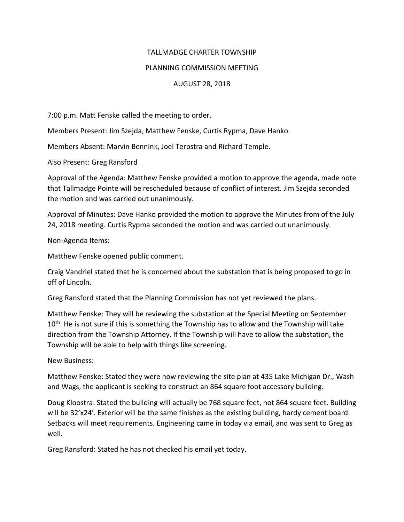## TALLMADGE CHARTER TOWNSHIP

## PLANNING COMMISSION MEETING

## AUGUST 28, 2018

7:00 p.m. Matt Fenske called the meeting to order.

Members Present: Jim Szejda, Matthew Fenske, Curtis Rypma, Dave Hanko.

Members Absent: Marvin Bennink, Joel Terpstra and Richard Temple.

Also Present: Greg Ransford

Approval of the Agenda: Matthew Fenske provided a motion to approve the agenda, made note that Tallmadge Pointe will be rescheduled because of conflict of interest. Jim Szejda seconded the motion and was carried out unanimously.

Approval of Minutes: Dave Hanko provided the motion to approve the Minutes from of the July 24, 2018 meeting. Curtis Rypma seconded the motion and was carried out unanimously.

Non-Agenda Items:

Matthew Fenske opened public comment.

Craig Vandriel stated that he is concerned about the substation that is being proposed to go in off of Lincoln.

Greg Ransford stated that the Planning Commission has not yet reviewed the plans.

Matthew Fenske: They will be reviewing the substation at the Special Meeting on September  $10<sup>th</sup>$ . He is not sure if this is something the Township has to allow and the Township will take direction from the Township Attorney. If the Township will have to allow the substation, the Township will be able to help with things like screening.

New Business:

Matthew Fenske: Stated they were now reviewing the site plan at 435 Lake Michigan Dr., Wash and Wags, the applicant is seeking to construct an 864 square foot accessory building.

Doug Kloostra: Stated the building will actually be 768 square feet, not 864 square feet. Building will be 32'x24'. Exterior will be the same finishes as the existing building, hardy cement board. Setbacks will meet requirements. Engineering came in today via email, and was sent to Greg as well.

Greg Ransford: Stated he has not checked his email yet today.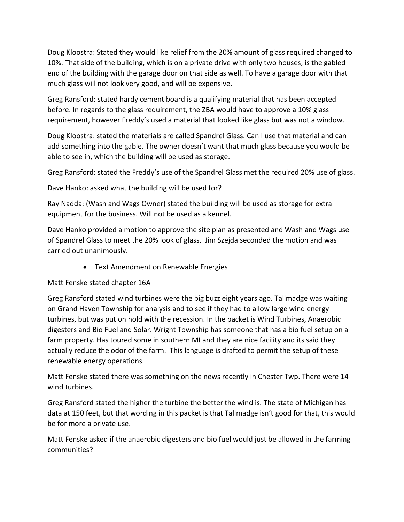Doug Kloostra: Stated they would like relief from the 20% amount of glass required changed to 10%. That side of the building, which is on a private drive with only two houses, is the gabled end of the building with the garage door on that side as well. To have a garage door with that much glass will not look very good, and will be expensive.

Greg Ransford: stated hardy cement board is a qualifying material that has been accepted before. In regards to the glass requirement, the ZBA would have to approve a 10% glass requirement, however Freddy's used a material that looked like glass but was not a window.

Doug Kloostra: stated the materials are called Spandrel Glass. Can I use that material and can add something into the gable. The owner doesn't want that much glass because you would be able to see in, which the building will be used as storage.

Greg Ransford: stated the Freddy's use of the Spandrel Glass met the required 20% use of glass.

Dave Hanko: asked what the building will be used for?

Ray Nadda: (Wash and Wags Owner) stated the building will be used as storage for extra equipment for the business. Will not be used as a kennel.

Dave Hanko provided a motion to approve the site plan as presented and Wash and Wags use of Spandrel Glass to meet the 20% look of glass. Jim Szejda seconded the motion and was carried out unanimously.

• Text Amendment on Renewable Energies

Matt Fenske stated chapter 16A

Greg Ransford stated wind turbines were the big buzz eight years ago. Tallmadge was waiting on Grand Haven Township for analysis and to see if they had to allow large wind energy turbines, but was put on hold with the recession. In the packet is Wind Turbines, Anaerobic digesters and Bio Fuel and Solar. Wright Township has someone that has a bio fuel setup on a farm property. Has toured some in southern MI and they are nice facility and its said they actually reduce the odor of the farm. This language is drafted to permit the setup of these renewable energy operations.

Matt Fenske stated there was something on the news recently in Chester Twp. There were 14 wind turbines.

Greg Ransford stated the higher the turbine the better the wind is. The state of Michigan has data at 150 feet, but that wording in this packet is that Tallmadge isn't good for that, this would be for more a private use.

Matt Fenske asked if the anaerobic digesters and bio fuel would just be allowed in the farming communities?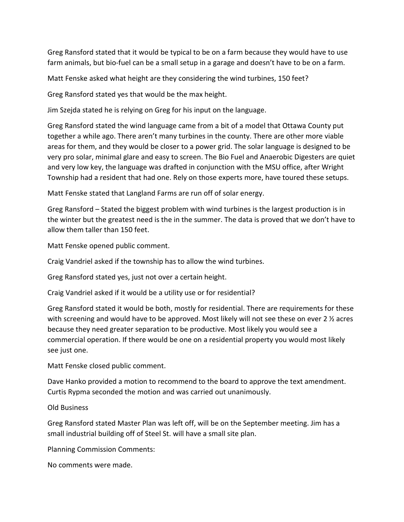Greg Ransford stated that it would be typical to be on a farm because they would have to use farm animals, but bio-fuel can be a small setup in a garage and doesn't have to be on a farm.

Matt Fenske asked what height are they considering the wind turbines, 150 feet?

Greg Ransford stated yes that would be the max height.

Jim Szejda stated he is relying on Greg for his input on the language.

Greg Ransford stated the wind language came from a bit of a model that Ottawa County put together a while ago. There aren't many turbines in the county. There are other more viable areas for them, and they would be closer to a power grid. The solar language is designed to be very pro solar, minimal glare and easy to screen. The Bio Fuel and Anaerobic Digesters are quiet and very low key, the language was drafted in conjunction with the MSU office, after Wright Township had a resident that had one. Rely on those experts more, have toured these setups.

Matt Fenske stated that Langland Farms are run off of solar energy.

Greg Ransford – Stated the biggest problem with wind turbines is the largest production is in the winter but the greatest need is the in the summer. The data is proved that we don't have to allow them taller than 150 feet.

Matt Fenske opened public comment.

Craig Vandriel asked if the township has to allow the wind turbines.

Greg Ransford stated yes, just not over a certain height.

Craig Vandriel asked if it would be a utility use or for residential?

Greg Ransford stated it would be both, mostly for residential. There are requirements for these with screening and would have to be approved. Most likely will not see these on ever 2 % acres because they need greater separation to be productive. Most likely you would see a commercial operation. If there would be one on a residential property you would most likely see just one.

Matt Fenske closed public comment.

Dave Hanko provided a motion to recommend to the board to approve the text amendment. Curtis Rypma seconded the motion and was carried out unanimously.

Old Business

Greg Ransford stated Master Plan was left off, will be on the September meeting. Jim has a small industrial building off of Steel St. will have a small site plan.

Planning Commission Comments:

No comments were made.